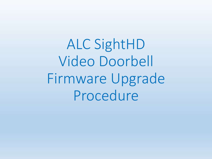ALC SightHD Video Doorbell Firmware Upgrade Procedure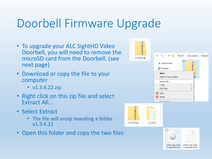# Doorbell Firmware Upgrade

- To upgrade your ALC SightHD Video Doorbell, you will need to remove the microSD card from the Doorbell. (see next page)
- Download or copy the file to your computer
	- v1.3.4.22.zip
- Right click on this zip file and select Extract All…
- Select Extract
	- The file will unzip revealing a folder v1.3.4.22
- Open this folder and copy the two files

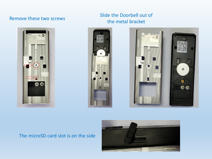

### Remove these two screws Slide the Doorbell out of the metal bracket





### The microSD card slot is on the side